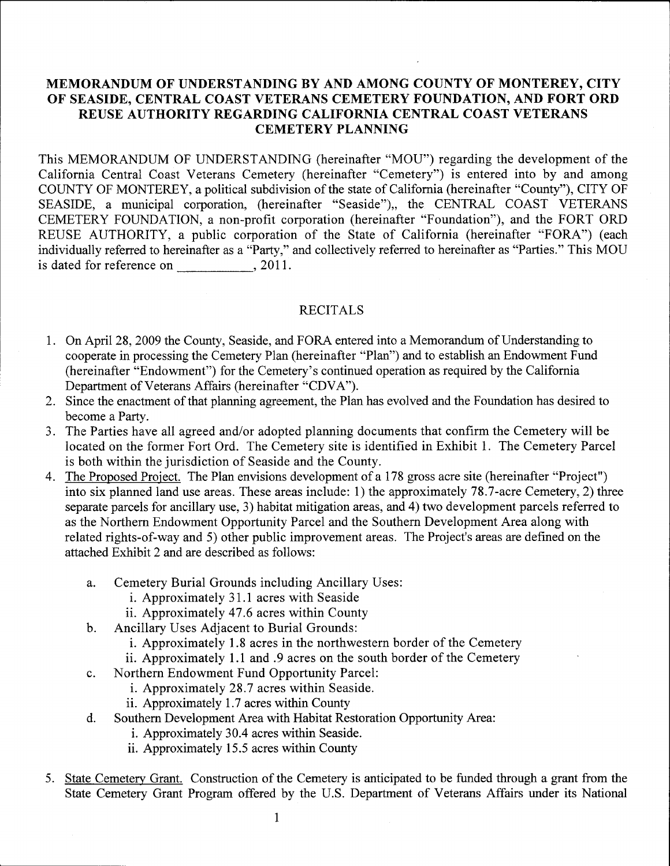## **MEMORANDUM OF UNDERSTANDING BY AND AMONG COUNTY OF MONTEREY, CITY OF SEASIDE, CENTRAL COAST VETERANS CEMETERY FOUNDATION, AND FORT ORD REUSE AUTHORITY REGARDING CALIFORNIA CENTRAL COAST VETERANS CEMETERY PLANNING**

This MEMORANDUM OF UNDERSTANDING (hereinafter "MOU") regarding the development of the California Central Coast Veterans Cemetery (hereinafter "Cemetery") is entered into by and among COUNTY OF MONTEREY, a political subdivision of the state of California (hereinafter "County"), CITY OF SEASIDE, a municipal corporation, (hereinafter "Seaside"), the CENTRAL COAST VETERANS CEMETERY FOUNDATION, a non-profit corporation (hereinafter "Foundation"), and the FORT ORD REUSE AUTHORITY, a public corporation of the State of California (hereinafter "FORA") (each individually referred to hereinafter as a "Party," and collectively referred to hereinafter as "Parties." This MOU is dated for reference on , 2011.

## RECITALS

- 1. On April 28, 2009 the County, Seaside, and FORA entered into a Memorandum of Understanding to cooperate in processing the Cemetery Plan (hereinafter "Plan") and to establish an Endowment Fund (hereinafter "Endowment") for the Cemetery's continued operation as required by the California Department of Veterans Affairs (hereinafter "CDVA").
- 2. Since the enactment of that planning agreement, the Plan has evolved and the Foundation has desired to become a Party.
- 3. The Parties have all agreed and/or adopted planning documents that confirm the Cemetery will be located on the former Fort Ord. The Cemetery site is identified in Exhibit 1. The Cemetery Parcel is both within the jurisdiction of Seaside and the County.
- 4. The Proposed Project. The Plan envisions development of a 178 gross acre site (hereinafter "Project") into six planned land use areas. These areas include: 1) the approximately 78.7-acre Cemetery, 2) three separate parcels for ancillary use, 3) habitat mitigation areas, and 4) two development parcels referred to as the Northern Endowment Opportunity Parcel and the Southern Development Area along with related rights-of-way and 5) other public improvement areas. The Project's areas are defined on the attached Exhibit 2 and are described as follows:
	- a. Cemetery Burial Grounds including Ancillary Uses:
		- i. Approximately 31.1 acres with Seaside
		- ii. Approximately 47.6 acres within County
	- b. Ancillary Uses Adjacent to Burial Grounds:
		- i. Approximately 1.8 acres in the northwestern border of the Cemetery
		- ii. Approximately 1.1 and .9 acres on the south border of the Cemetery
	- c. Northern Endowment Fund Opportunity Parcel:
		- i. Approximately 28.7 acres within Seaside.
		- ii. Approximately 1.7 acres within County
	- d. Southern Development Area with Habitat Restoration Opportunity Area:
		- i. Approximately 30.4 acres within Seaside.
		- ii. Approximately 15.5 acres within County
- 5. State Cemetery Grant. Construction of the Cemetery is anticipated to be funded through a grant from the State Cemetery Grant Program offered by the U.S. Department of Veterans Affairs under its National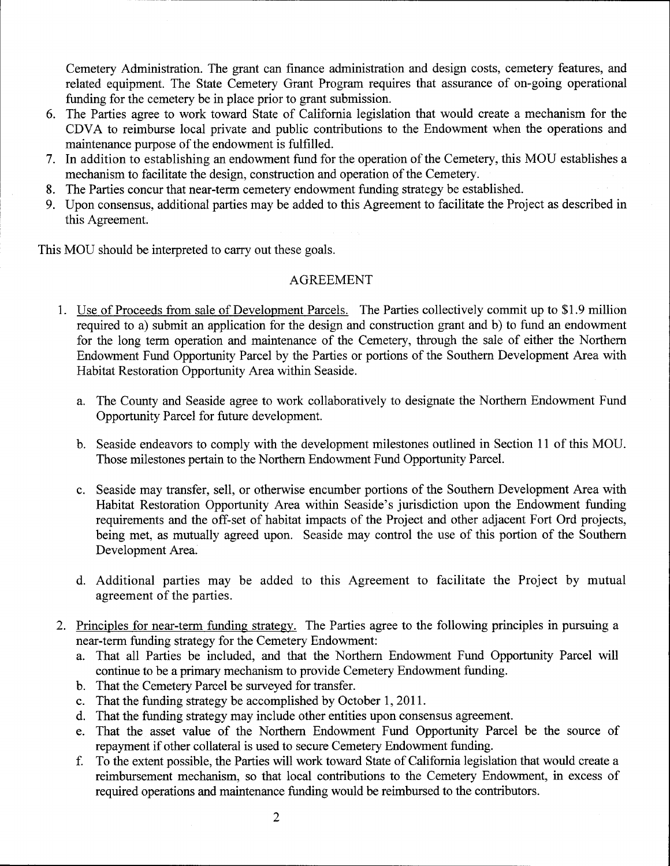Cemetery Administration. The grant can finance administration and design costs, cemetery features, and related equipment. The State Cemetery Grant Program requires that assurance of on-going operational funding for the cemetery be in place prior to grant submission.

- 6. The Parties agree to work toward State of California legislation that would create a mechanism for the CDV A to reimburse local private and public contributions to the Endowment when the operations and maintenance purpose of the endowment is fulfilled.
- 7. In addition to establishing an endowment fund for the operation of the Cemetery, this MOU establishes a mechanism to facilitate the design, construction and operation of the Cemetery.
- 8. The Parties concur that near-term cemetery endowment funding strategy be established.
- 9. Upon consensus, additional parties may be added to this Agreement to facilitate the Project as described in this Agreement.

This MOU should be interpreted to carry out these goals.

## AGREEMENT

- 1. Use of Proceeds from sale of Development Parcels. The Parties collectively commit up to \$1.9 million required to a) submit an application for the design and construction grant and b) to fund an endowment for the long term operation and maintenance of the Cemetery, through the sale of either the Northern Endowment Fund Opportunity Parcel by the Parties or portions of the Southern Development Area with Habitat Restoration Opportunity Area within Seaside.
	- a. The County and Seaside agree to work collaboratively to designate the Northern Endowment Fund Opportunity Parcel for future development.
	- b. Seaside endeavors to comply with the development milestones outlined in Section 11 of this MOU. Those milestones pertain to the Northern Endowment Fund Opportunity Parcel.
	- c. Seaside may transfer, sell, or otherwise encumber portions of the Southern Development Area with Habitat Restoration Opportunity Area within Seaside's jurisdiction upon the Endowment funding requirements and the off-set of habitat impacts of the Project and other adjacent Fort Ord projects, being met, as mutually agreed upon. Seaside may control the use of this portion of the Southern Development Area.
	- d. Additional parties may be added to this Agreement to facilitate the Project by mutual agreement of the parties.
- 2. Principles for near-term funding strategy. The Parties agree to the following principles in pursuing a near-term funding strategy for the Cemetery Endowment:
	- a. That all Parties be included, and that the Northern Endowment Fund Opportunity Parcel will continue to be a primary mechanism to provide Cemetery Endowment funding.
	- b. That the Cemetery Parcel be surveyed for transfer.
	- c. That the funding strategy be accomplished by October 1,2011.
	- d. That the funding strategy may include other entities upon consensus agreement.
	- e. That the asset value of the Northern Endowment Fund Opportunity Parcel be the source of repayment if other collateral is used to secure Cemetery Endowment funding.
	- f. To the extent possible, the Parties will work toward State of California legislation that would create a reimbursement mechanism, so that local contributions to the Cemetery Endowment, in excess of required operations and maintenance funding would be reimbursed to the contributors.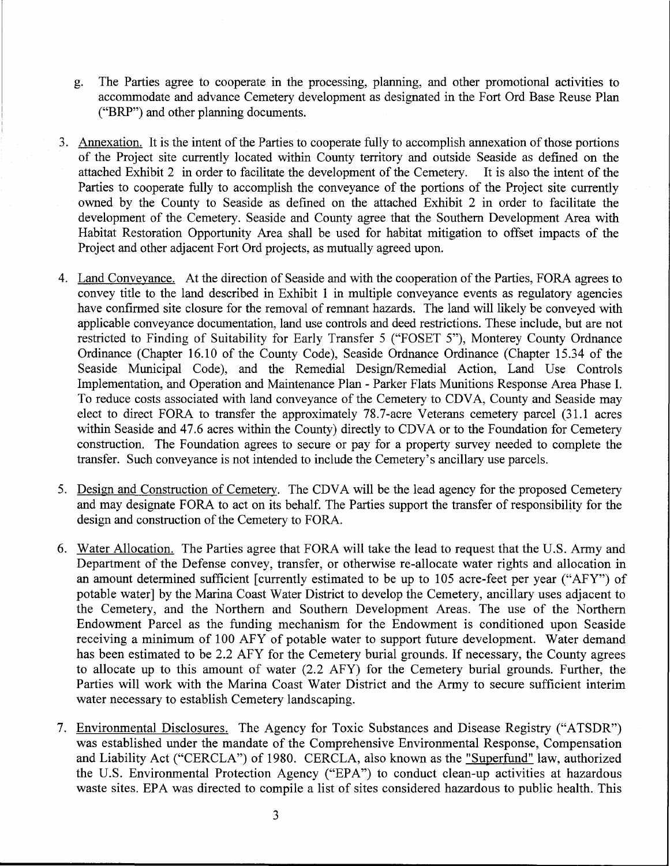- g. The Parties agree to cooperate in the processing, planning, and other promotional activities to accommodate and advance Cemetery development as designated in the Fort Ord Base Reuse Plan ("BRP") and other planning documents.
- 3. Annexation. It is the intent of the Parties to cooperate fully to accomplish annexation of those portions of the Project site currently located within County territory and outside Seaside as defined on the attached Exhibit 2 in order to facilitate the development of the Cemetery. It is also the intent of the Parties to cooperate fully to accomplish the conveyance of the portions of the Project site currently owned by the County to Seaside as defined on the attached Exhibit 2 in order to facilitate the development of the Cemetery. Seaside and County agree that the Southern Development Area with Habitat Restoration Opportunity Area shall be used for habitat mitigation to offset impacts of the Project and other adjacent Fort Ord projects, as mutually agreed upon.
- 4. Land Conveyance. At the direction of Seaside and with the cooperation of the Parties, FORA agrees to convey title to the land described in Exhibit 1 in multiple conveyance events as regulatory agencies have confirmed site closure for the removal of remnant hazards. The land will likely be conveyed with applicable conveyance documentation, land use controls and deed restrictions. These include, but are not restricted to Finding of Suitability for Early Transfer 5 ("FOSET 5"), Monterey County Ordnance Ordinance (Chapter 16.10 of the County Code), Seaside Ordnance Ordinance (Chapter 15.34 of the Seaside Municipal Code), and the Remedial Design/Remedial Action, Land Use Controls Implementation, and Operation and Maintenance Plan - Parker Flats Munitions Response Area Phase 1. To reduce costs associated with land conveyance of the Cemetery to CDV A, County and Seaside may elect to direct FORA to transfer the approximately 78.7 -acre Veterans cemetery parcel (31.1 acres within Seaside and 47.6 acres within the County) directly to CDVA or to the Foundation for Cemetery construction. The Foundation agrees to secure or pay for a property survey needed to complete the transfer. Such conveyance is not intended to include the Cemetery's ancillary use parcels.
- 5. Design and Construction of Cemetery. The CDVA will be the lead agency for the proposed Cemetery and may designate FORA to act on its behalf. The Parties support the transfer of responsibility for the design and construction of the Cemetery to FORA.
- 6. Water Allocation. The Parties agree that FORA will take the lead to request that the U.S. Army and Department of the Defense convey, transfer, or otherwise re-allocate water rights and allocation in an amount determined sufficient [currently estimated to be up to 105 acre-feet per year ("AFY") of potable water] by the Marina Coast Water District to develop the Cemetery, ancillary uses adjacent to the Cemetery, and the Northern and Southern Development Areas. The use of the Northern Endowment Parcel as the funding mechanism for the Endowment is conditioned upon Seaside receiving a minimum of 100 AFY of potable water to support future development. Water demand has been estimated to be 2.2 AFY for the Cemetery burial grounds. If necessary, the County agrees to allocate up to this amount of water (2.2 AFY) for the Cemetery burial grounds. Further, the Parties will work with the Marina Coast Water District and the Army to secure sufficient interim water necessary to establish Cemetery landscaping.
- 7. Environmental Disclosures. The Agency for Toxic Substances and Disease Registry ("ATSDR") was established under the mandate of the Comprehensive Environmental Response, Compensation and Liability Act ("CERCLA") of 1980. CERCLA, also known as the "Superfund" law, authorized the U.S. Environmental Protection Agency ("EPA") to conduct clean-up activities at hazardous waste sites. EPA was directed to compile a list of sites considered hazardous to public health. This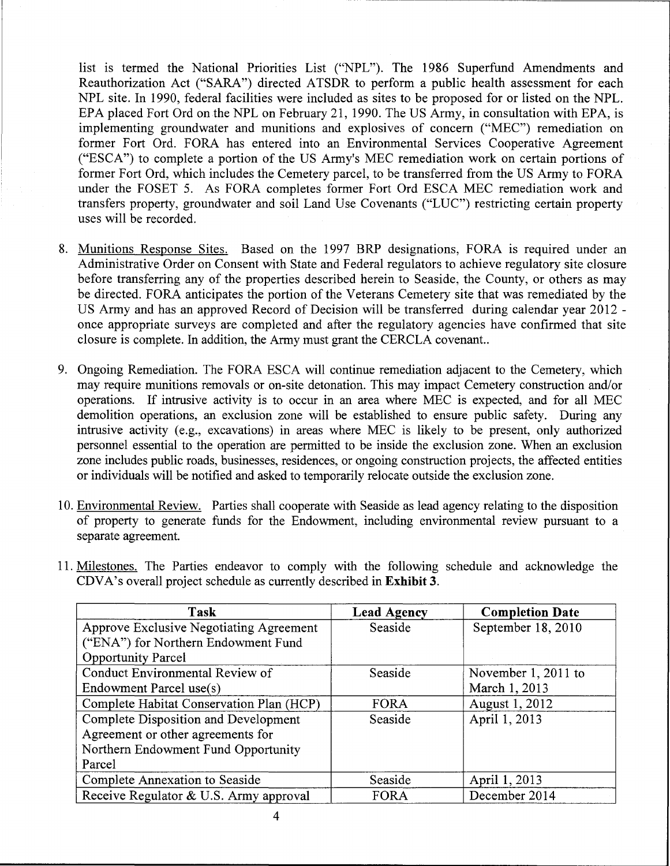list is termed the National Priorities List ("NPL"). The 1986 Superfund Amendments and Reauthorization Act ("SARA") directed ATSDR to perform a public health assessment for each NPL site. In 1990, federal facilities were included as sites to be proposed for or listed on the NPL. EPA placed Fort Ord on the NPL on February 21, 1990. The US Army, in consultation with EPA, is implementing groundwater and munitions and explosives of concern ("MEC") remediation on former Fort Ord. FORA has entered into an Environmental Services Cooperative Agreement ("ESCA") to complete a portion of the US Army's MEC remediation work on certain portions of former Fort Ord, which includes the Cemetery parcel, to be transferred from the US Army to FORA under the FOSET 5. As FORA completes former Fort Ord ESCA MEC remediation work and transfers property, groundwater and soil Land Use Covenants ("LUC") restricting certain property uses will be recorded.

- 8. Munitions Response Sites. Based on the 1997 BRP designations, FORA is required under an Administrative Order on Consent with State and Federal regulators to achieve regulatory site closure before transferring any of the properties described herein to Seaside, the County, or others as may be directed. FORA anticipates the portion of the Veterans Cemetery site that was remediated by the US Army and has an approved Record of Decision will be transferred during calendar year 2012 once appropriate surveys are completed and after the regulatory agencies have confirmed that site closure is complete. In addition, the Army must grant the CERCLA covenant..
- 9. Ongoing Remediation. The FORA ESCA will continue remediation adjacent to the Cemetery, which may require munitions removals or on-site detonation. This may impact Cemetery construction and/or operations. If intrusive activity is to occur in an area where MEC is expected, and for all MEC demolition operations, an exclusion zone will be established to ensure public safety. During any intrusive activity (e.g., excavations) in areas where MEC is likely to be present, only authorized personnel essential to the operation are permitted to be inside the exclusion zone. When an exclusion zone includes public roads, businesses, residences, or ongoing construction projects, the affected entities or individuals will be notified and asked to temporarily relocate outside the exclusion zone.
- 10. Environmental Review. Parties shall cooperate with Seaside as lead agency relating to the disposition of property to generate funds for the Endowment, including environmental review pursuant to a separate agreement.
- 11. Milestones. The Parties endeavor to comply with the following schedule and acknowledge the CDVA's overall project schedule as currently described in **Exhibit 3.**

| Task                                           | <b>Lead Agency</b> | <b>Completion Date</b> |
|------------------------------------------------|--------------------|------------------------|
| <b>Approve Exclusive Negotiating Agreement</b> | Seaside            | September 18, 2010     |
| ("ENA") for Northern Endowment Fund            |                    |                        |
| <b>Opportunity Parcel</b>                      |                    |                        |
| Conduct Environmental Review of                | Seaside            | November 1, 2011 to    |
| Endowment Parcel use(s)                        |                    | March 1, 2013          |
| Complete Habitat Conservation Plan (HCP)       | FORA               | August 1, 2012         |
| Complete Disposition and Development           | Seaside            | April 1, 2013          |
| Agreement or other agreements for              |                    |                        |
| Northern Endowment Fund Opportunity            |                    |                        |
| Parcel                                         |                    |                        |
| Complete Annexation to Seaside                 | Seaside            | April 1, 2013          |
| Receive Regulator & U.S. Army approval         | FORA               | December 2014          |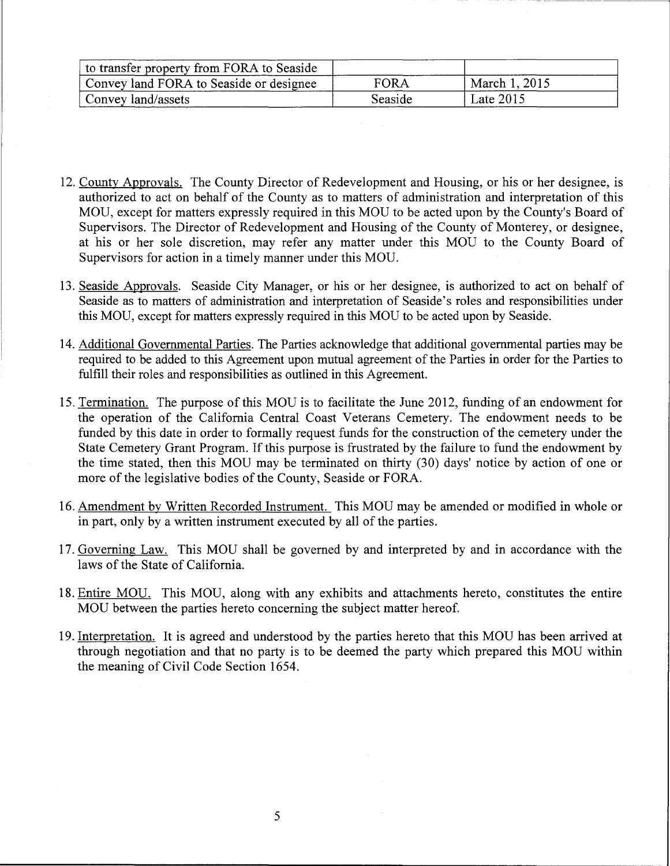| to transfer property from FORA to Seaside |             |               |  |
|-------------------------------------------|-------------|---------------|--|
| Convey land FORA to Seaside or designee   | <b>FORA</b> | March 1, 2015 |  |
| Convey land/assets                        | Seaside     | Late $2015$   |  |

- 12. County Approvals. The County Director of Redevelopment and Housing, or his or her designee, is authorized to act on behalf of the County as to matters of administration and interpretation of this MOU, except for matters expressly required in this MOU to be acted upon by the County's Board of Supervisors. The Director of Redevelopment and Housing of the County of Monterey, or designee, at his or her sole discretion, may refer any matter under this MOU to the County Board of Supervisors for action in a timely manner under this MOU.
- 13. Seaside Approvals. Seaside City Manager, or his or her designee, is authorized to act on behalf of Seaside as to matters of administration and interpretation of Seaside's roles and responsibilities under this MOU, except for matters expressly required in this MOU to be acted upon by Seaside.
- 14. Additional Governmental Parties. The Parties acknowledge that additional governmental parties may be required to be added to this Agreement upon mutual agreement of the Parties in order for the Parties to fulfill their roles and responsibilities as outlined in this Agreement.
- 15. Termination. The purpose of this MOU is to facilitate the June 2012, funding of an endowment for the operation of the California Central Coast Veterans Cemetery. The endowment needs to be funded by this date in order to formally request funds for the construction of the cemetery under the State Cemetery Grant Program. If this purpose is frustrated by the failure to fund the endowment by the time stated, then this MOU may be terminated on thirty (30) days' notice by action of one or more of the legislative bodies of the County, Seaside or FORA.
- 16. Amendment by Written Recorded Instrument. This MOU may be amended or modified in whole or in part, only by a written instrument executed by all of the parties.
- 17. Governing Law. This MOU shall be governed by and interpreted by and in accordance with the laws of the State of California.
- 18. Entire MOU. This MOU, along with any exhibits and attachments hereto, constitutes the entire MOU between the parties hereto concerning the subject matter hereof.
- 19. Interpretation. It is agreed and understood by the parties hereto that this MOU has been arrived at through negotiation and that no party is to be deemed the party which prepared this MOU within the meaning of Civil Code Section 1654.